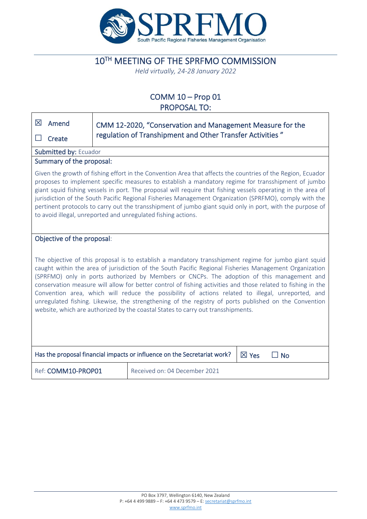

# 10TH MEETING OF THE SPRFMO COMMISSION

*Held virtually, 24-28 January 2022*

### COMM 10 – Prop 01 PROPOSAL TO:

| 区<br>Amend                                                                                                                                                                                                                                                                                                                                                                                                                                                                                                                                                                                                                                                                                                                      |                          | CMM 12-2020, "Conservation and Management Measure for the |  |  |  |  |
|---------------------------------------------------------------------------------------------------------------------------------------------------------------------------------------------------------------------------------------------------------------------------------------------------------------------------------------------------------------------------------------------------------------------------------------------------------------------------------------------------------------------------------------------------------------------------------------------------------------------------------------------------------------------------------------------------------------------------------|--------------------------|-----------------------------------------------------------|--|--|--|--|
| Create                                                                                                                                                                                                                                                                                                                                                                                                                                                                                                                                                                                                                                                                                                                          |                          | regulation of Transhipment and Other Transfer Activities" |  |  |  |  |
| Submitted by: Ecuador                                                                                                                                                                                                                                                                                                                                                                                                                                                                                                                                                                                                                                                                                                           |                          |                                                           |  |  |  |  |
|                                                                                                                                                                                                                                                                                                                                                                                                                                                                                                                                                                                                                                                                                                                                 | Summary of the proposal: |                                                           |  |  |  |  |
| Given the growth of fishing effort in the Convention Area that affects the countries of the Region, Ecuador<br>proposes to implement specific measures to establish a mandatory regime for transshipment of jumbo<br>giant squid fishing vessels in port. The proposal will require that fishing vessels operating in the area of<br>jurisdiction of the South Pacific Regional Fisheries Management Organization (SPRFMO), comply with the<br>pertinent protocols to carry out the transshipment of jumbo giant squid only in port, with the purpose of<br>to avoid illegal, unreported and unregulated fishing actions.                                                                                                       |                          |                                                           |  |  |  |  |
| Objective of the proposal:                                                                                                                                                                                                                                                                                                                                                                                                                                                                                                                                                                                                                                                                                                      |                          |                                                           |  |  |  |  |
| The objective of this proposal is to establish a mandatory transshipment regime for jumbo giant squid<br>caught within the area of jurisdiction of the South Pacific Regional Fisheries Management Organization<br>(SPRFMO) only in ports authorized by Members or CNCPs. The adoption of this management and<br>conservation measure will allow for better control of fishing activities and those related to fishing in the<br>Convention area, which will reduce the possibility of actions related to illegal, unreported, and<br>unregulated fishing. Likewise, the strengthening of the registry of ports published on the Convention<br>website, which are authorized by the coastal States to carry out transshipments. |                          |                                                           |  |  |  |  |
| Has the proposal financial impacts or influence on the Secretariat work?<br>$\boxtimes$ Yes<br>$\Box$ No                                                                                                                                                                                                                                                                                                                                                                                                                                                                                                                                                                                                                        |                          |                                                           |  |  |  |  |
| Ref: COMM10-PROP01<br>Received on: 04 December 2021                                                                                                                                                                                                                                                                                                                                                                                                                                                                                                                                                                                                                                                                             |                          |                                                           |  |  |  |  |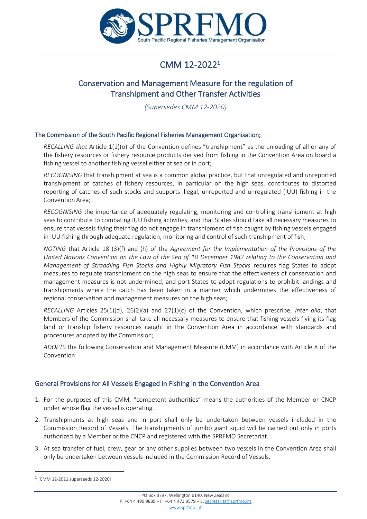

# CMM 12-2022 1

## Conservation and Management Measure for the regulation of Transhipment and Other Transfer Activities

*(Supersedes CMM 12-2020)*

#### The Commission of the South Pacific Regional Fisheries Management Organisation;

*RECALLING that* Article 1(1)(o) of the Convention defines "transhipment" as the unloading of all or any of the fishery resources or fishery resource products derived from fishing in the Convention Area on board a fishing vessel to another fishing vessel either at sea or in port;

*RECOGNISING* that transhipment at sea is a common global practice, but that unregulated and unreported transhipment of catches of fishery resources, in particular on the high seas, contributes to distorted reporting of catches of such stocks and supports illegal, unreported and unregulated (IUU) fishing in the Convention Area;

*RECOGNISING* the importance of adequately regulating, monitoring and controlling transhipment at high seasto contribute to combating IUU fishing activities, and that States should take all necessary measures to ensure that vessels flying their flag do not engage in transhipment of fish caught by fishing vessels engaged in IUU fishing through adequate regulation, monitoring and control of such transhipment of fish;

*NOTING* that Article 18 (3)(f) and (h) of the *Agreement for the Implementation of the Provisions of the United Nations Convention on the Law of the Sea of 10 December 1982 relating to the Conservation and Management of Straddling Fish Stocks and Highly Migratory Fish Stocks* requires flag States to adopt measures to regulate transhipment on the high seas to ensure that the effectiveness of conservation and management measures is not undermined, and port States to adopt regulations to prohibit landings and transhipments where the catch has been taken in a manner which undermines the effectiveness of regional conservation and management measures on the high seas;

*RECALLING* Articles 25(1)(d), 26(2)(a) and 27(1)(c) of the Convention, which prescribe, *inter alia*, that Members of the Commission shall take all necessary measures to ensure that fishing vessels flying its flag land or tranship fishery resources caught in the Convention Area in accordance with standards and procedures adopted by the Commission;

*ADOPTS* the following Conservation and Management Measure (CMM) in accordance with Article 8 of the Convention:

### General Provisions for All Vessels Engaged in Fishing in the Convention Area

- 1. For the purposes of this CMM, "competent authorities" means the authorities of the Member or CNCP under whose flag the vessel is operating.
- 2. Transhipments at high seas and in port shall only be undertaken between vessels included in the Commission Record of Vessels. The transhipments of jumbo giant squid will be carried out only in ports authorized by a Member or the CNCP and registered with the SPRFMO Secretariat.
- 3. At sea transfer of fuel, crew, gear or any other supplies between two vessels in the Convention Area shall only be undertaken between vessels included in the Commission Record of Vessels.

<sup>1</sup> [CMM 12-2021 superseeds 12-2020]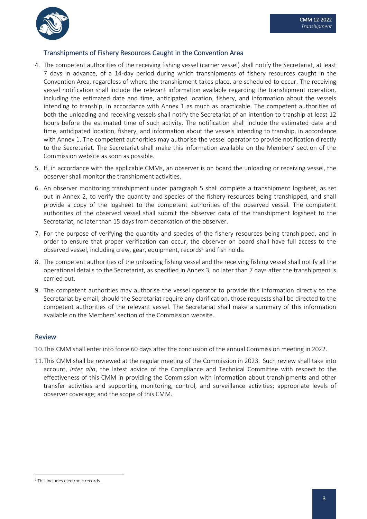

### Transhipments of Fishery Resources Caught in the Convention Area

- 4. The competent authorities of the receiving fishing vessel (carrier vessel) shall notify the Secretariat, at least 7 days in advance, of a 14-day period during which transhipments of fishery resources caught in the Convention Area, regardless of where the transhipment takes place, are scheduled to occur. The receiving vessel notification shall include the relevant information available regarding the transhipment operation, including the estimated date and time, anticipated location, fishery, and information about the vessels intending to tranship, in accordance with Annex 1 as much as practicable. The competent authorities of both the unloading and receiving vessels shall notify the Secretariat of an intention to tranship at least 12 hours before the estimated time of such activity. The notification shall include the estimated date and time, anticipated location, fishery, and information about the vessels intending to tranship, in accordance with Annex 1. The competent authorities may authorise the vessel operator to provide notification directly to the Secretariat. The Secretariat shall make this information available on the Members' section of the Commission website as soon as possible.
- 5. If, in accordance with the applicable CMMs, an observer is on board the unloading or receiving vessel, the observer shall monitor the transhipment activities.
- 6. An observer monitoring transhipment under paragraph 5 shall complete a transhipment logsheet, as set out in Annex 2, to verify the quantity and species of the fishery resources being transhipped, and shall provide a copy of the logsheet to the competent authorities of the observed vessel. The competent authorities of the observed vessel shall submit the observer data of the transhipment logsheet to the Secretariat, no later than 15 days from debarkation of the observer.
- 7. For the purpose of verifying the quantity and species of the fishery resources being transhipped, and in order to ensure that proper verification can occur, the observer on board shall have full access to the observed vessel, including crew, gear, equipment, records<sup>1</sup> and fish holds.
- 8. The competent authorities of the unloading fishing vessel and the receiving fishing vessel shall notify all the operational details to the Secretariat, as specified in Annex 3, no later than 7 days after the transhipment is carried out.
- 9. The competent authorities may authorise the vessel operator to provide this information directly to the Secretariat by email; should the Secretariat require any clarification, those requests shall be directed to the competent authorities of the relevant vessel. The Secretariat shall make a summary of this information available on the Members' section of the Commission website.

### Review

10.This CMM shall enter into force 60 days after the conclusion of the annual Commission meeting in 2022.

11.This CMM shall be reviewed at the regular meeting of the Commission in 2023. Such review shall take into account, *inter alia*, the latest advice of the Compliance and Technical Committee with respect to the effectiveness of this CMM in providing the Commission with information about transhipments and other transfer activities and supporting monitoring, control, and surveillance activities; appropriate levels of observer coverage; and the scope of this CMM.

<sup>&</sup>lt;sup>1</sup> This includes electronic records.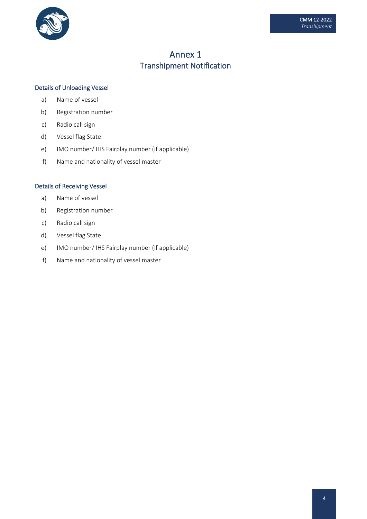

## Annex 1 Transhipment Notification

#### Details of Unloading Vessel

- a) Name of vessel
- b) Registration number
- c) Radio call sign
- d) Vessel flag State
- e) IMO number/ IHS Fairplay number (if applicable)
- f) Name and nationality of vessel master

#### Details of Receiving Vessel

- a) Name of vessel
- b) Registration number
- c) Radio call sign
- d) Vessel flag State
- e) IMO number/ IHS Fairplay number (if applicable)
- f) Name and nationality of vessel master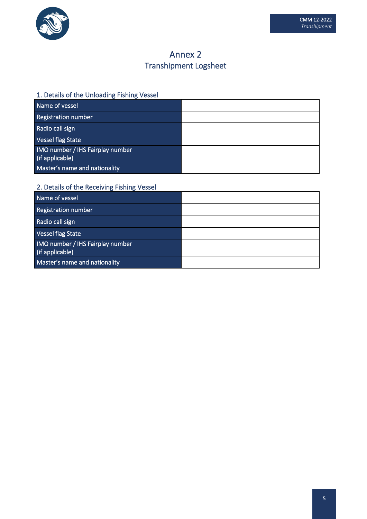

# Annex 2 Transhipment Logsheet

### 1. Details of the Unloading Fishing Vessel

| Name of vessel                                      |  |
|-----------------------------------------------------|--|
| Registration number                                 |  |
| Radio call sign                                     |  |
| Vessel flag State                                   |  |
| IMO number / IHS Fairplay number<br>(if applicable) |  |
| Master's name and nationality                       |  |

### 2. Details of the Receiving Fishing Vessel

| Name of vessel                                      |  |
|-----------------------------------------------------|--|
| Registration number                                 |  |
| Radio call sign                                     |  |
| Vessel flag State                                   |  |
| IMO number / IHS Fairplay number<br>(if applicable) |  |
| Master's name and nationality                       |  |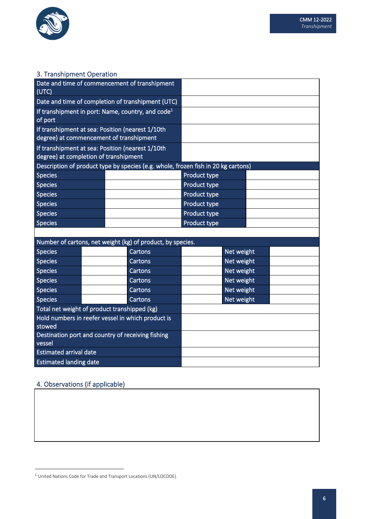

### 3. Transhipment Operation

| (UTC)                                                       |  | Date and time of commencement of transhipment                                               |              |            |  |
|-------------------------------------------------------------|--|---------------------------------------------------------------------------------------------|--------------|------------|--|
|                                                             |  | Date and time of completion of transhipment (UTC)                                           |              |            |  |
| of port                                                     |  | If transhipment in port: Name, country, and code <sup>1</sup>                               |              |            |  |
|                                                             |  | If transhipment at sea: Position (nearest 1/10th<br>degree) at commencement of transhipment |              |            |  |
|                                                             |  | If transhipment at sea: Position (nearest 1/10th                                            |              |            |  |
| degree) at completion of transhipment                       |  |                                                                                             |              |            |  |
|                                                             |  | Description of product type by species (e.g. whole, frozen fish in 20 kg cartons)           |              |            |  |
| <b>Species</b>                                              |  |                                                                                             | Product type |            |  |
| <b>Species</b>                                              |  |                                                                                             | Product type |            |  |
| <b>Species</b>                                              |  |                                                                                             | Product type |            |  |
| <b>Species</b>                                              |  |                                                                                             | Product type |            |  |
| <b>Species</b>                                              |  |                                                                                             | Product type |            |  |
| <b>Species</b>                                              |  |                                                                                             | Product type |            |  |
|                                                             |  |                                                                                             |              |            |  |
|                                                             |  | Number of cartons, net weight (kg) of product, by species.                                  |              |            |  |
| <b>Species</b>                                              |  | Cartons                                                                                     |              | Net weight |  |
| <b>Species</b>                                              |  | Cartons                                                                                     |              | Net weight |  |
| <b>Species</b>                                              |  | Cartons                                                                                     |              | Net weight |  |
| <b>Species</b>                                              |  | Cartons                                                                                     |              | Net weight |  |
| <b>Species</b>                                              |  | Cartons                                                                                     |              | Net weight |  |
| <b>Species</b>                                              |  | Cartons                                                                                     |              | Net weight |  |
| Total net weight of product transhipped (kg)                |  |                                                                                             |              |            |  |
| Hold numbers in reefer vessel in which product is           |  |                                                                                             |              |            |  |
| stowed                                                      |  |                                                                                             |              |            |  |
| Destination port and country of receiving fishing<br>vessel |  |                                                                                             |              |            |  |
| <b>Estimated arrival date</b>                               |  |                                                                                             |              |            |  |
| <b>Estimated landing date</b>                               |  |                                                                                             |              |            |  |

## 4. Observations (if applicable)

<sup>1</sup> United Nations Code for Trade and Transport Locations (UN/LOCODE).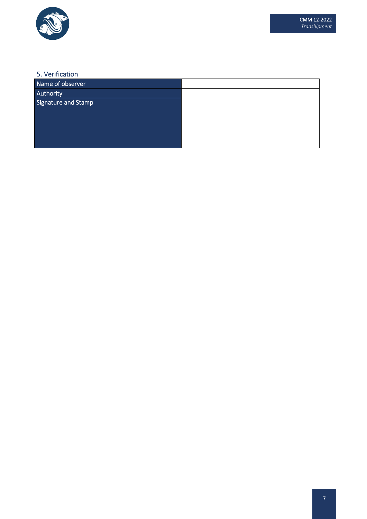

### 5. Verification

| Name of observer    |  |
|---------------------|--|
| Authority           |  |
| Signature and Stamp |  |
|                     |  |
|                     |  |
|                     |  |
|                     |  |